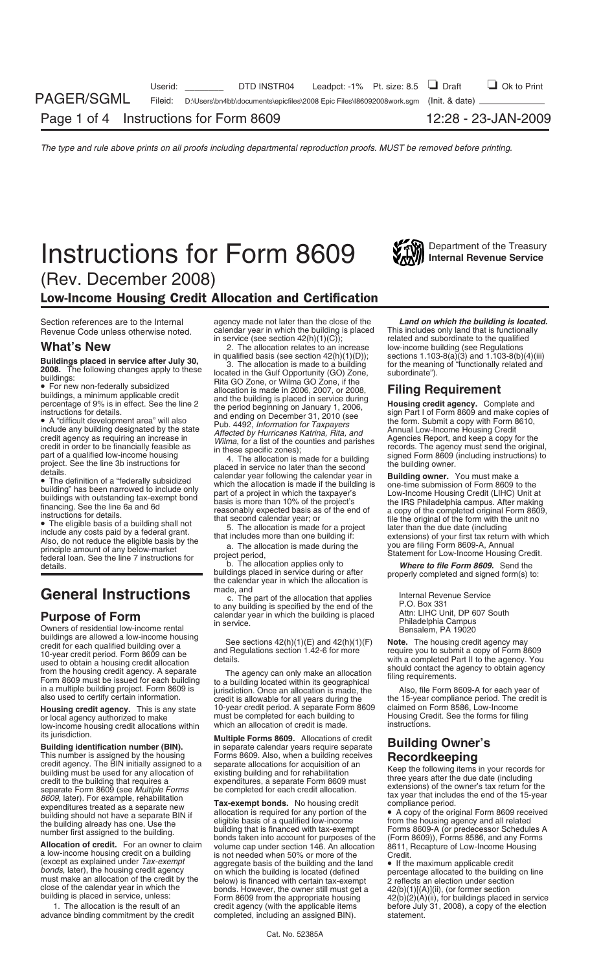# **Instructions for Form 8609** Washingthand Revenue Service



(Rev. December 2008)

## Low-Income Housing Credit Allocation and Certification

federal loan. See the line 7 instructions for project period,<br>b. The allocation applies only to **Where to file Form 8609.** Send the<br>buildings placed in service during or after properly completed and signed form(s) to

buildings are allowed a low-income housing<br>credit for each qualified building over a<br>10-year credit period. Form 8609 can be<br>10-year credit period. Form 8609 can be<br>10-year credit eriod. Form 8609 can be<br>10-year credit eri

low-income housing credit allocations within<br>its iurisdiction.

This number is assigned by the housing<br>
credit agency. The BIN initially assigned to a separate allocations for acquisition of the publicality and to a separate form assigned to a separate Form and the publication<br>
buildi

Section references are to the Internal agency made not later than the close of the **Land on which the building is located.**<br>Revenue Code unless otherwise noted calendar year in which the building is placed This includes on Revenue Code unless otherwise noted. calendar year in which the building is placed<br>  $\frac{1}{\pi}$  in service (see section 42(h)(1)(C));

**Buildings placed in service after July 30,** qualified basis (see section 42(h)(11)(b)) sections 1.103-8(a)(3) and 1.103-8(a)(4)(iii) sections in the Cultowing changes a philosophy by the location is made to a building fo

buildings placed in service during or after properly completed and signed form(s) to:<br>the calendar year in which the allocation is<br>made, and

General Instructions<br>
The part of the allocation that applies<br>
to any building is specified by the end of the<br>
C. Box 331<br>
Purpose of Form<br>
Courit, DP 607 South<br>
Courity Depresed<br>
Owners of residential low-income rental<br>
C

**Housing credit agency.** This is any state 10-year credit period. A separate Form 8609 claimed on Form 8586, Low-Income or local agency authorized to make must be completed for each building to Housing Credit. See the form or local agency authorized to make must be completed for each building to Housing Cre<br>
Iow-income housing credit allocations within which an allocation of credit is made. Instructions.

its jurisdiction. **Multiple Forms 8609.** Allocations of credit **Building identification number (BIN).** in separate calendar years require separate **Building Owner's**

(except as explained under  $Tax\text{-}exempt}$  aggregate basis of the building and the land  $bonds$ , later), the housing credit agency on which the building is located (defined must make an allocation of the credit by the below) is 1. The allocation is the result of an credit agency (with the applicable items before July 31, 2008), a copy of the election ance binding commitment by the credit completed, including an assigned BIN). Statement. advance binding commitment by the credit completed, including an assigned BIN). statement.

related and subordinate to the qualified<br>low-income building (see Regulations **What's New**<br> **Exercise 2.** The allocation relates to an increase low-income building (see Regulations<br> **Exercises placed in service after July 30,** in qualified basis (see section 42(h)(1)(D)); sections 1.103-8(a)(3) and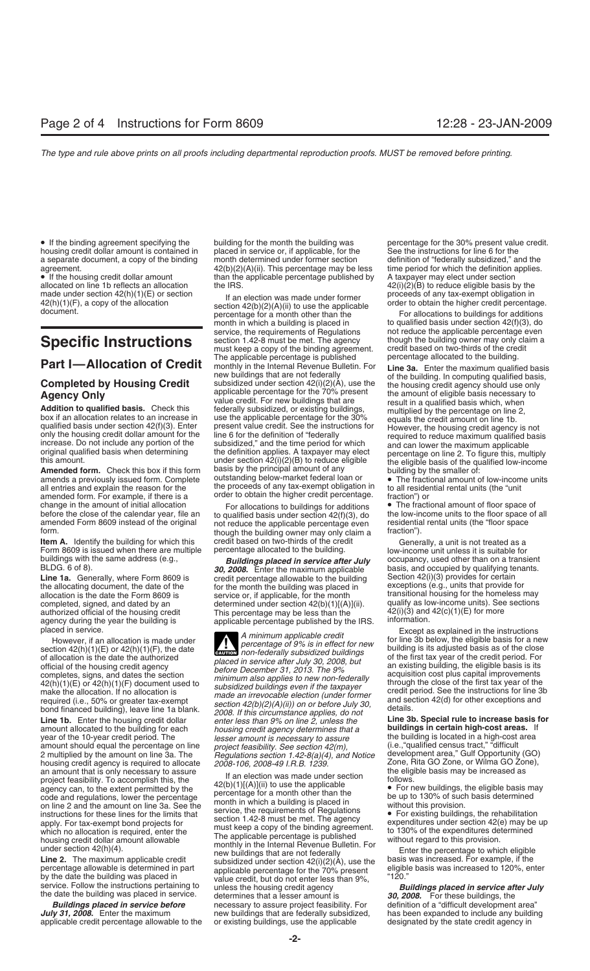allocated on line 1b reflects an allocation the IRS.  $42(i)(2)(B)$  to reduce eligible basis by the made under section  $42(h)(1)(E)$  or section the IRS. proceeds of any tax-exempt obligation in

amended form. For example, if there is a fraction order to obtain the higher credit percentage. Traction") or change in the amount of initial allocation **For allocations For allocations For allocations For allocation** change in the amount of initial allocation  $\qquad$  For allocations to buildings for additions  $\bullet$  The fractional amount of floor space of all before the close of the calendar year, file an to qualified basis under section

**Item A.** Identify the building for which this credit based on two-thirds of the credit Generally, a unit is not treated as a Form 8609 is issued when there are multiple percentage allocated to the building. Cow-income uni Form 8609 is issued when there are multiple buildings with the same address (e.g.,

agency during the year the building is applicable percentage published by the IRS.<br>placed in service.

housing credit agency is required to allocate *2008-106, 2008-49 I.R.B. 1239.* Zone, Rita GO Zone, or Wilma GO Zone, and amount that is only necessary to assure

applicable credit percentage allowable to the

housing credit dollar amount is contained in placed in service or, if applicable, for the See the instructions for line 6 for the a separate document, a copy of the binding month determined under former section definition a separate document, a copy of the binding month determined under former section definition of "federally subsidized," and the agreement.<br> $42(b)(2)(A)(ii)$ . This percentage may be less time period for which the definition appli agreement. 42(b)(2)(A)(ii). This percentage may be less time period for which the definition and the applicable percentage published by A taxpayer may elect under section

made under section  $42(h)(1)(F)$ , a copy of the allocation<br>document.<br>document.<br>document.<br>document.<br>document.<br>document.<br>document.<br>document.<br>document.<br>document.<br>document.<br>document.<br>document.<br>document.<br>document.<br>document.<br>docum service, the requirements of Regulations and reduce the applicable percentage even<br>section 1.42-8 must be met. The agency and though the building owner may only claim a **Specific Instructions** section 1.42-8 must be met. The agency though the building owner may only claim and the credit based on two-thirds of the credit must keep a copy of the binding agreement. credit based on two-thirds of the credit credit credit credit credi<br>The applicable percentage is published between the sallocated to the building. **Part I—Allocation of Credit** The applicable percentage is published<br> **Completed by Housing Credit** monthly in the Internal Revenue Bulletin. For **Line 3a.** Enter the maximum qualified basis,<br> **Completed by Housing Credit** this amount.<br>**Amended form.** Check this box if this form basis by the principal amount of any building by the smaller of:<br>amends a previously issued form. Complete outstanding below-market federal loan or **a** The fractiona amends a previously issued form. Complete outstanding below-market federal loan or • The fractional amount of low-income units all entries and explain the reason for the the proceeds of any tax-exempt obligation in to all the proceeds of any tax-exempt obligation in

before the close of the calendar year, file an unity of qualified basis under section 42(f)(3), do the low-income units to the floor space of all<br>amended Form 8609 instead of the original not reduce the applicable percenta

BLDG. 6 of 8).<br>**Line 1a.** Generally, where Form 8609 is exercedit percentage allowable to the building Section 42(i)(3) provides for certain **Line 1a.** Generally, where Form 8609 is credit percentage allowable to the building Section 42(i)(3) provides for certain the allocating document, the date of the section the month the building was placed in exceptions (e for the month the building was placed in exceptions (e.g., units that provide for service or, if applicable, for the month transitional housing for the homeless may allocation is the date the Form 8609 is service or, if applicable, for the month transitional housing for the homeless may<br>completed, signed, and dated by an determined under section 42(b)(1)[(A)](ii). qualify as low-incom completed, signed, and dated by an determined under section  $42(b)(1)[(A)](ii)$ . qualify as low-income units). See section  $42(b)(1)[(A)](ii)$ .  $42(i)(3)$  and  $42(c)(1)(E)$  for more This percentage may be less than the  $42(i)(3)$  and 42(i)(3) and 42(i)(3) and 42(i)(3)

**ENTION** non-federally subsidized buildings of allocation is the date the authorized<br>
of the housing credit gency<br>
of the first tax year of the credit period. For<br>
official of the housing credit agency<br>
completes, signs, and dates the section<br>
completes, signs, and **Line 1b.** Enter the housing credit dollar *and the building toreach housing credit agency determines that a* **buildings in certain high-cost areas.** If year of the 10-year credit period. The *lesser amount is necessary lesser amount is necessary to assure* the building is located in a high-cost area<br>project feasibility. See section 42(m),  $($ i.e., "qualified census tract," "difficult amount should equal the percentage on line *project feasibility. See section 42(m),* (i.e., "qualified census tract," "difficult<br>2 multiplied by the amount on line 3a. The *Regulations section 1.42-8(a)(4), and Notice* dev 2 multiplied by the amount on line 3a. The *Regulations section 1.42-8(a)(4), and Notice* development area," Gulf Opportunity (GO) housing credit agency is required to allocate 2008-106, 2008-49 I.R.B. 1239. Zone, Rita GO

an amount that is only necessary to assure<br>
project fraction (the eligible basis may be increased as<br>
project fraction (the applicable this, the<br>
agency can, to the extent permitted by the<br>
agency can, to the extent permi *Buildings placed in service before* necessary to assure project feasibility. For definition of a "difficult development area" new buildings that are federally subsidized, has been expanded to include any building or existing buildings, use the applicable designated by the state credit agency in

• If the binding agreement specifying the building for the month the building was percentage for the 30% present value credit.<br>housing credit dollar amount is contained in placed in service or, if applicable, for the See t than the applicable percentage published by  $\begin{array}{c} A \text{ taxpaper may elect under section} \\ 42(i)(2)(B) \text{ to reduce eligible basis by the} \end{array}$ 

to qualified basis under section  $42(f)(3)$ , do

buildings with the same address (e.g., **Buildings placed in service after July** occupancy, used other than on a transient **BLDG.** 6 of 8).<br>**BLDG.** 6 of 8). **BUILDEN 6** and occupied by qualifying tenants.

placed in service.<br>
However, if an allocation is made under<br>
section 42(h)(1)(E) or 42(h)(1)(F), the date<br>
extribution an-federally subsidized buildings<br>
non-federally subsidized buildings<br>
of the first tax year of the cre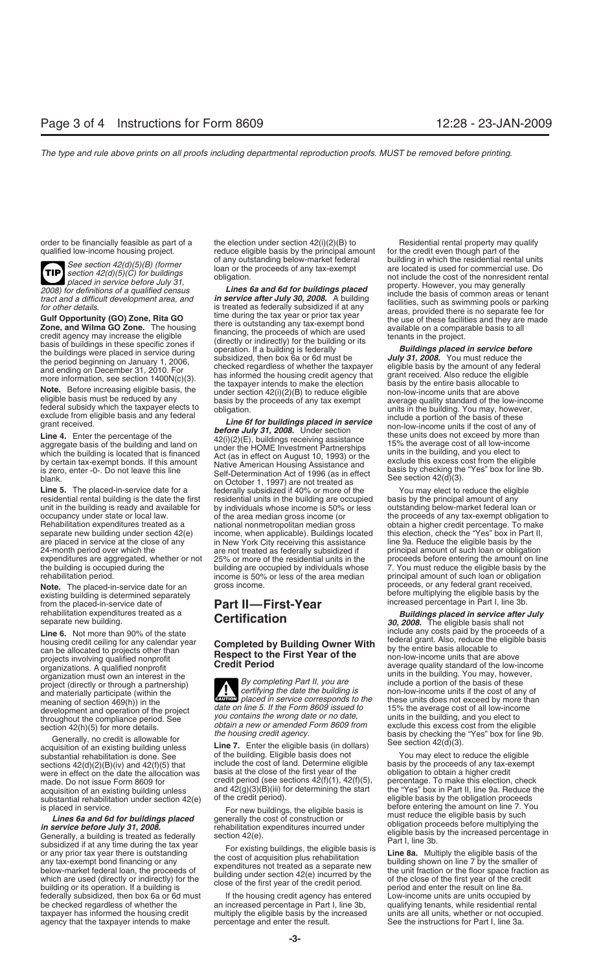**TIP**

Line 5. The placed-in-service date for a federally subsidized if 40% or more of the You may elect to reduce the eligible residential rental building is the date the first residential units in the building are occupied basis by the principal amount of any<br>unit in the building is ready and available for by individuals whose income is 50% or le unit in the building is ready and available for occupancy under state or local law. Rehabilitation expenditures treated as a national nonmetropolitan median gross obtain a higher credit percentage. To make<br>separate new building under section 42(e) income, when applicable). Buildings located this election, separate new building under section 42(e) income, when applicable). Buildings located this election, check the "Yes" box in Part are placed in service at the close of any in New York City receiving this assistance line 9a. are placed in service at the close of any in New York City receiving this assistance line 9a. Reduce the eligible basis by the<br>24-month period over which the are not treated as federally subsidized if principal amount of s 24-month period over which the are not treated as federally subsidized if expenditures are aggregated, whether or not 25% or more of the residential units in the expenditures are aggregated, whether or not 25% or more of the residential units in the proceeds before entering the amount on line<br>the building is occupied during the building are occupied by individuals whose 7. You must

**Note.** The placed-in-service date for an gross income. **before multiplying the eligible basis by the existing building is determined separately**<br>from the placed-in-service date of **Part II—First-Year** increased percentage in Part I, line 3b.<br>rehabilitation expenditures treated

acquisition of an existing building unless<br>substantial rehabilitation is done. See of the building. Eligible basis does not You may elect to reduce the eligible<br>sections 42(d)(2)(B)(iv) and 42(f)(5) that include the cost o sections 42(d)(2)(B)(iv) and 42(f)(5) that include the cost of land. Determine eligible basis by the proceeds of any tax-exempted in the date the allocation was basis at the close of the first year of the obligation to obt were in effect on the date the allocation was basis at the close of the first year of the made. Do not issue Form 8609 for credit period (see sections  $42(f)(1)$ ,  $42(f)(5)$ , made. Do not issue Form 8609 for credit period (see sections  $42(f)(1)$ ,  $42(f)(5)$ , percentage. To make this election, check acquisition of an existing building unless and  $42(g)(3)(B)(iii)$  for determining the start the "Yes" box substantial rehabilitation under section  $42(e)$  of the credit period). eligible basis by the obligation proceeds<br>is placed in service. equivalence the objections the eligible basis is before entering the amount on line 7.

is placed in service.<br> **Lines 6a and 6d for buildings placed**<br> **Exerces to the set of construction** or<br> **Exerces to the set of the set of the set of the set of the set of the set of the set of the set of the set of the se** federally subsidized, then box 6a or 6d must If the housing credit agency has entered Low-income units are units occupied by be checked regardless of whether the an increased percentage in Part I, line 3b, qualifying tenants, while residential rental<br>taxpayer has informed the housing credit multiply the eligible basis by the increased units are taxpayer has informed the housing credit multiply the eligible basis by the increased units are all units, whether or not occupied.<br>agency that the taxpayer intends to make percentage and enter the result. See the instruct agency that the taxpayer intends to make

order to be financially feasible as part of a the election under section 42(i)(2)(B) to Residential rental property may qualify qualify qualified low-income housing project. <br>
reduce eligible basis by the principal amount reduce eligible basis by the principal amount for the credit even though part of the of any outstanding below-market federal building in which the residential rental units

For definitions of a qualified census<br>
tract and a difficult development area, and<br>
for other details.<br>
tract and a difficult development area, and<br>
for other details.<br>
Siguida is treated as federally subsidized if a tany

the building is occupied during the building are occupied by individuals whose 7. You must reduce the eligible basis by the rehabilitation period.<br>
rehabilitation period. Conclusion between the state of the area median pri

**ENTION** placed in service corresponds to the

and  $42(g)(3)(B)(iii)$  for determining the start the "Yes" box in Part II, line 9a. Reduce the of the credit period).

See section 42(d)(5)(B) (former of any outstanding below-market federal building in which the residential rental units<br>section 42(d)(5)(C) for buildings loan or the proceeds of any tax-exempt are located is used for commer

eligible basis must be reduced by any<br>exclude from eligible basis and any federal subsidition.<br>exclude from eligible basis and any federal<br>grant received.<br>**Line 4.** Enter the percentage of the<br>grant received.<br>**Line 4.** Ent

occupancy under state or local law. of the area median gross income (or the proceeds of any tax-exempt obligation to<br>Rehabilitation expenditures treated as a mational nonmetropolitan median gross obtain a higher credit per principal amount of such loan or obligation<br>proceeds, or any federal grant received,

rehabilitation expenditures treated as a **Certification Certification 1998. Buildings placed in service after July** separate new building. Line 6. Not more than 90% of the state<br>housing credit ceiling for any calendar year<br> **Completed by Building Owner With** federal grant. Also, reduce the eligible basis housing credit celling for any calendar year<br>
can be allocated to projects other than<br>
projects involving qualified nonprofit<br>
organizations. A qualified nonprofit<br>
organization must own an interest in the<br>
organization mu meaning of section 469(h)) in the the project date on line 5. If the Form 8609 issued to<br>development and operation of the project date on line 5. If the Form 8609 issued to<br>throughout the compliance period. See you contai